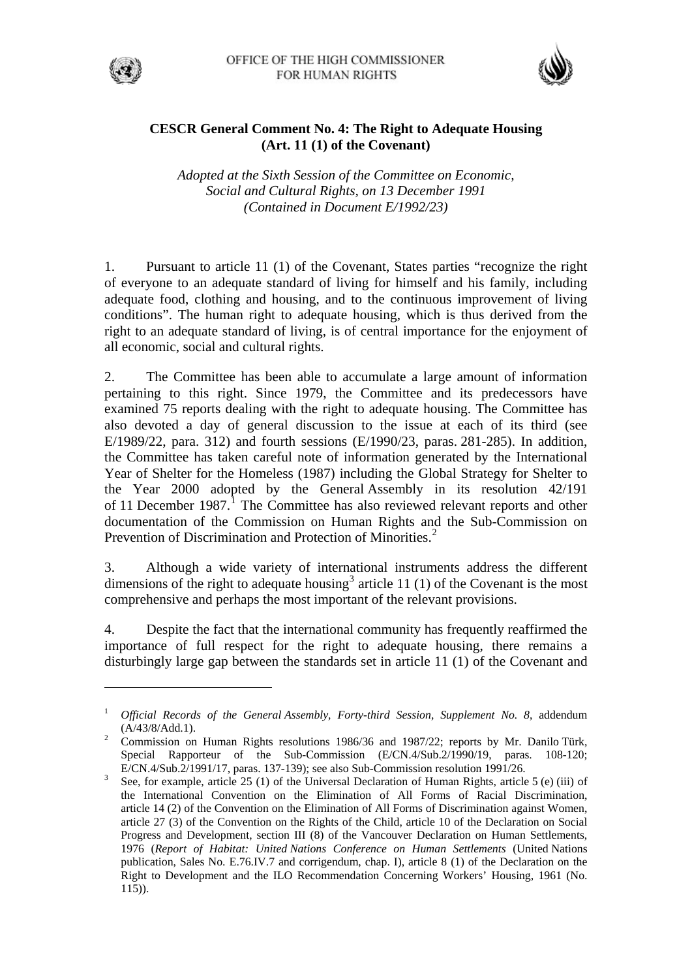

 $\overline{a}$ 



## **CESCR General Comment No. 4: The Right to Adequate Housing (Art. 11 (1) of the Covenant)**

*Adopted at the Sixth Session of the Committee on Economic, Social and Cultural Rights, on 13 December 1991 (Contained in Document E/1992/23)* 

1. Pursuant to article 11 (1) of the Covenant, States parties "recognize the right of everyone to an adequate standard of living for himself and his family, including adequate food, clothing and housing, and to the continuous improvement of living conditions". The human right to adequate housing, which is thus derived from the right to an adequate standard of living, is of central importance for the enjoyment of all economic, social and cultural rights.

2. The Committee has been able to accumulate a large amount of information pertaining to this right. Since 1979, the Committee and its predecessors have examined 75 reports dealing with the right to adequate housing. The Committee has also devoted a day of general discussion to the issue at each of its third (see E/1989/22, para. 312) and fourth sessions (E/1990/23, paras. 281-285). In addition, the Committee has taken careful note of information generated by the International Year of Shelter for the Homeless (1987) including the Global Strategy for Shelter to the Year 2000 adopted by the General Assembly in its resolution 42/191 of [1](#page-0-0)1 December 1987.<sup>1</sup> The Committee has also reviewed relevant reports and other documentation of the Commission on Human Rights and the Sub-Commission on Prevention of Discrimination and Protection of Minorities.<sup>[2](#page-0-1)</sup>

3. Although a wide variety of international instruments address the different dimensions of the right to adequate housing<sup>[3](#page-0-2)</sup> article 11 $(1)$  of the Covenant is the most comprehensive and perhaps the most important of the relevant provisions.

4. Despite the fact that the international community has frequently reaffirmed the importance of full respect for the right to adequate housing, there remains a disturbingly large gap between the standards set in article 11 (1) of the Covenant and

<span id="page-0-0"></span><sup>1</sup>  *Official Records of the General Assembly, Forty-third Session, Supplement No. 8*, addendum

<span id="page-0-1"></span> $(A/43/8/Add.1)$ .<br><sup>2</sup> Commission on Human Rights resolutions 1986/36 and 1987/22; reports by Mr. Danilo Türk, Special Rapporteur of the Sub-Commission (E/CN.4/Sub.2/1990/19, paras. 108-120; E/CN.4/Sub.2/1991/17, paras. 137-139); see also Sub-Commission resolution 1991/26.<br><sup>3</sup> See for example article 25.(1) of the Universal Decleration of Human Bights, article

<span id="page-0-2"></span>See, for example, article 25 (1) of the Universal Declaration of Human Rights, article 5 (e) (iii) of the International Convention on the Elimination of All Forms of Racial Discrimination, article 14 (2) of the Convention on the Elimination of All Forms of Discrimination against Women, article 27 (3) of the Convention on the Rights of the Child, article 10 of the Declaration on Social Progress and Development, section III (8) of the Vancouver Declaration on Human Settlements, 1976 (*Report of Habitat: United Nations Conference on Human Settlements* (United Nations publication, Sales No. E.76.IV.7 and corrigendum, chap. I), article 8 (1) of the Declaration on the Right to Development and the ILO Recommendation Concerning Workers' Housing, 1961 (No. 115)).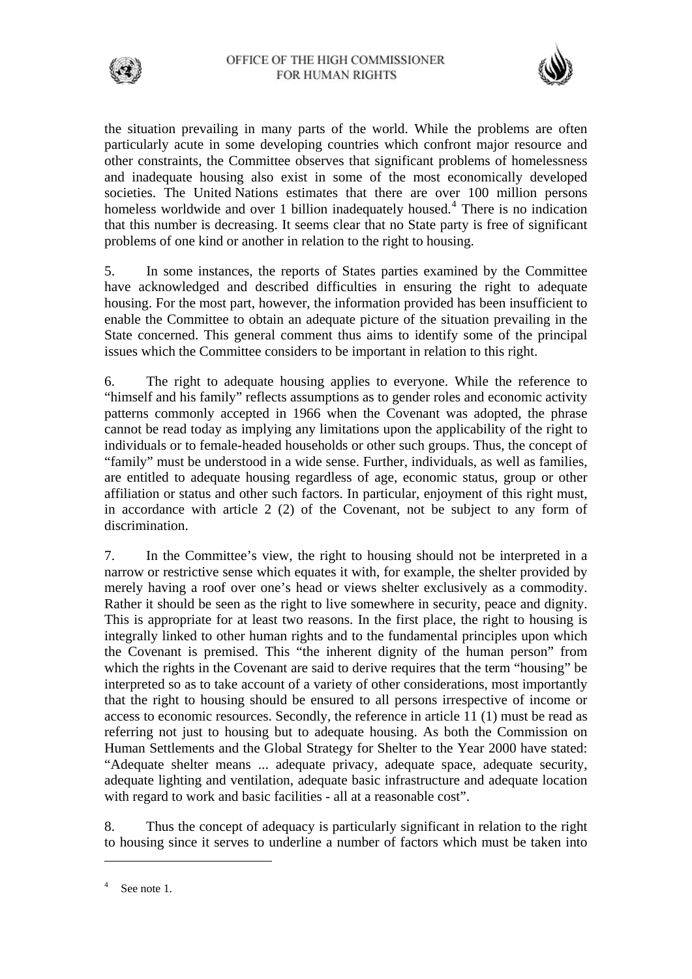



the situation prevailing in many parts of the world. While the problems are often particularly acute in some developing countries which confront major resource and other constraints, the Committee observes that significant problems of homelessness and inadequate housing also exist in some of the most economically developed societies. The United Nations estimates that there are over 100 million persons homeless worldwide and over 1 billion inadequately housed.<sup>[4](#page-1-0)</sup> There is no indication that this number is decreasing. It seems clear that no State party is free of significant problems of one kind or another in relation to the right to housing.

5. In some instances, the reports of States parties examined by the Committee have acknowledged and described difficulties in ensuring the right to adequate housing. For the most part, however, the information provided has been insufficient to enable the Committee to obtain an adequate picture of the situation prevailing in the State concerned. This general comment thus aims to identify some of the principal issues which the Committee considers to be important in relation to this right.

6. The right to adequate housing applies to everyone. While the reference to "himself and his family" reflects assumptions as to gender roles and economic activity patterns commonly accepted in 1966 when the Covenant was adopted, the phrase cannot be read today as implying any limitations upon the applicability of the right to individuals or to female-headed households or other such groups. Thus, the concept of "family" must be understood in a wide sense. Further, individuals, as well as families, are entitled to adequate housing regardless of age, economic status, group or other affiliation or status and other such factors. In particular, enjoyment of this right must, in accordance with article 2 (2) of the Covenant, not be subject to any form of discrimination.

7. In the Committee's view, the right to housing should not be interpreted in a narrow or restrictive sense which equates it with, for example, the shelter provided by merely having a roof over one's head or views shelter exclusively as a commodity. Rather it should be seen as the right to live somewhere in security, peace and dignity. This is appropriate for at least two reasons. In the first place, the right to housing is integrally linked to other human rights and to the fundamental principles upon which the Covenant is premised. This "the inherent dignity of the human person" from which the rights in the Covenant are said to derive requires that the term "housing" be interpreted so as to take account of a variety of other considerations, most importantly that the right to housing should be ensured to all persons irrespective of income or access to economic resources. Secondly, the reference in article 11 (1) must be read as referring not just to housing but to adequate housing. As both the Commission on Human Settlements and the Global Strategy for Shelter to the Year 2000 have stated: "Adequate shelter means ... adequate privacy, adequate space, adequate security, adequate lighting and ventilation, adequate basic infrastructure and adequate location with regard to work and basic facilities - all at a reasonable cost".

8. Thus the concept of adequacy is particularly significant in relation to the right to housing since it serves to underline a number of factors which must be taken into

 $\overline{a}$ 

<span id="page-1-0"></span><sup>4</sup> See note 1.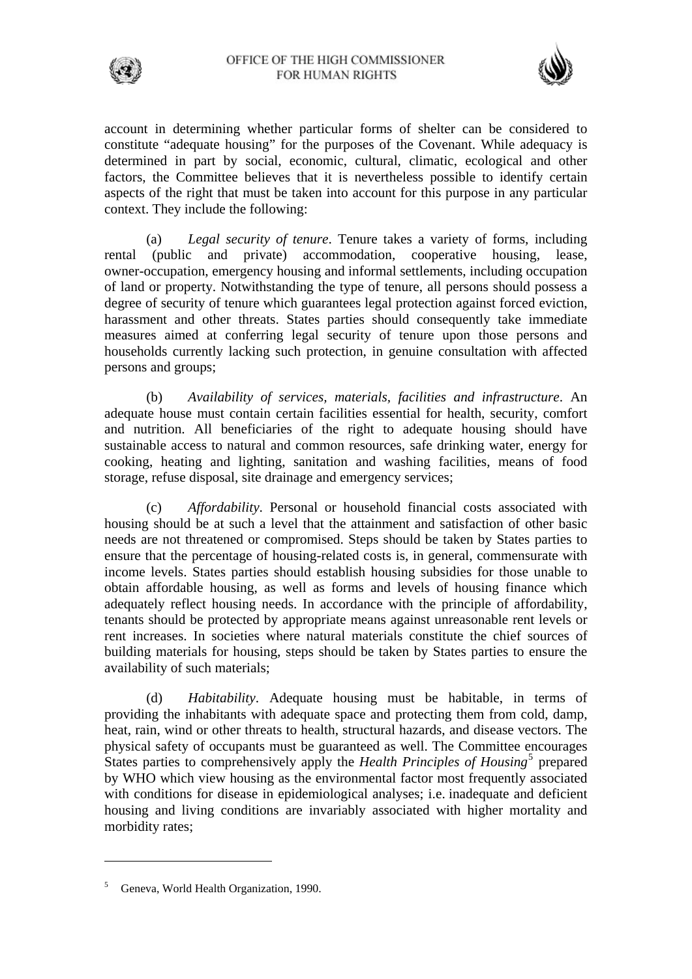



account in determining whether particular forms of shelter can be considered to constitute "adequate housing" for the purposes of the Covenant. While adequacy is determined in part by social, economic, cultural, climatic, ecological and other factors, the Committee believes that it is nevertheless possible to identify certain aspects of the right that must be taken into account for this purpose in any particular context. They include the following:

 (a) *Legal security of tenure*. Tenure takes a variety of forms, including rental (public and private) accommodation, cooperative housing, lease, owner-occupation, emergency housing and informal settlements, including occupation of land or property. Notwithstanding the type of tenure, all persons should possess a degree of security of tenure which guarantees legal protection against forced eviction, harassment and other threats. States parties should consequently take immediate measures aimed at conferring legal security of tenure upon those persons and households currently lacking such protection, in genuine consultation with affected persons and groups;

 (b) *Availability of services, materials, facilities and infrastructure*. An adequate house must contain certain facilities essential for health, security, comfort and nutrition. All beneficiaries of the right to adequate housing should have sustainable access to natural and common resources, safe drinking water, energy for cooking, heating and lighting, sanitation and washing facilities, means of food storage, refuse disposal, site drainage and emergency services;

 (c) *Affordability*. Personal or household financial costs associated with housing should be at such a level that the attainment and satisfaction of other basic needs are not threatened or compromised. Steps should be taken by States parties to ensure that the percentage of housing-related costs is, in general, commensurate with income levels. States parties should establish housing subsidies for those unable to obtain affordable housing, as well as forms and levels of housing finance which adequately reflect housing needs. In accordance with the principle of affordability, tenants should be protected by appropriate means against unreasonable rent levels or rent increases. In societies where natural materials constitute the chief sources of building materials for housing, steps should be taken by States parties to ensure the availability of such materials;

 (d) *Habitability*. Adequate housing must be habitable, in terms of providing the inhabitants with adequate space and protecting them from cold, damp, heat, rain, wind or other threats to health, structural hazards, and disease vectors. The physical safety of occupants must be guaranteed as well. The Committee encourages States parties to comprehensively apply the *Health Principles of Housing*<sup>[5](#page-2-0)</sup> prepared by WHO which view housing as the environmental factor most frequently associated with conditions for disease in epidemiological analyses; i.e. inadequate and deficient housing and living conditions are invariably associated with higher mortality and morbidity rates;

 $\overline{a}$ 

<span id="page-2-0"></span><sup>&</sup>lt;sup>5</sup> Geneva, World Health Organization, 1990.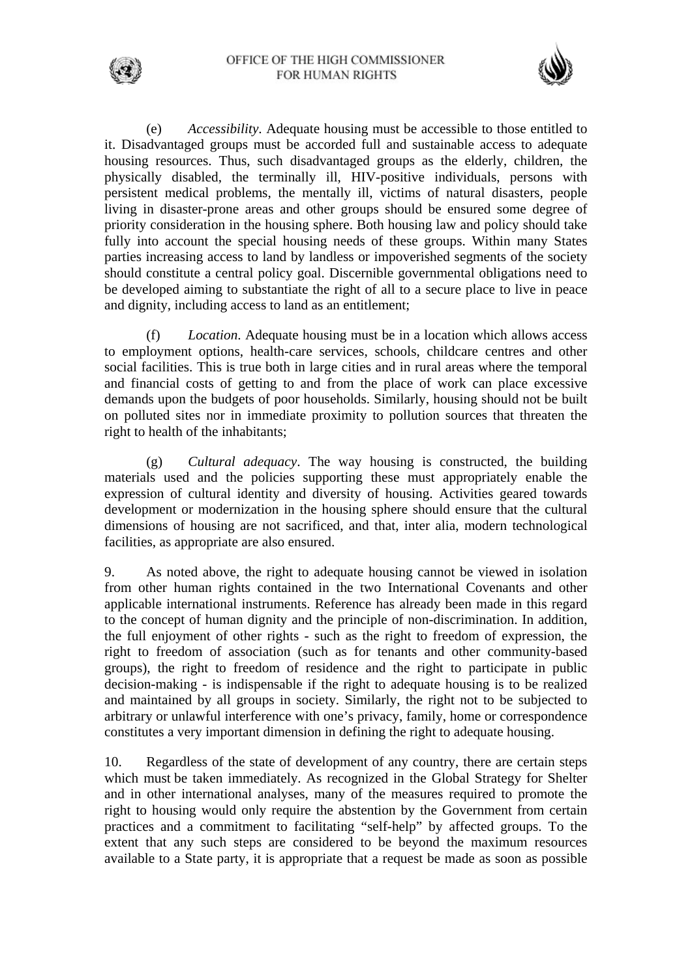

 (e) *Accessibility*. Adequate housing must be accessible to those entitled to it. Disadvantaged groups must be accorded full and sustainable access to adequate housing resources. Thus, such disadvantaged groups as the elderly, children, the physically disabled, the terminally ill, HIV-positive individuals, persons with persistent medical problems, the mentally ill, victims of natural disasters, people living in disaster-prone areas and other groups should be ensured some degree of priority consideration in the housing sphere. Both housing law and policy should take fully into account the special housing needs of these groups. Within many States parties increasing access to land by landless or impoverished segments of the society should constitute a central policy goal. Discernible governmental obligations need to be developed aiming to substantiate the right of all to a secure place to live in peace and dignity, including access to land as an entitlement;

*Location*. Adequate housing must be in a location which allows access to employment options, health-care services, schools, childcare centres and other social facilities. This is true both in large cities and in rural areas where the temporal and financial costs of getting to and from the place of work can place excessive demands upon the budgets of poor households. Similarly, housing should not be built on polluted sites nor in immediate proximity to pollution sources that threaten the right to health of the inhabitants;

 (g) *Cultural adequacy*. The way housing is constructed, the building materials used and the policies supporting these must appropriately enable the expression of cultural identity and diversity of housing. Activities geared towards development or modernization in the housing sphere should ensure that the cultural dimensions of housing are not sacrificed, and that, inter alia, modern technological facilities, as appropriate are also ensured.

9. As noted above, the right to adequate housing cannot be viewed in isolation from other human rights contained in the two International Covenants and other applicable international instruments. Reference has already been made in this regard to the concept of human dignity and the principle of non-discrimination. In addition, the full enjoyment of other rights - such as the right to freedom of expression, the right to freedom of association (such as for tenants and other community-based groups), the right to freedom of residence and the right to participate in public decision-making - is indispensable if the right to adequate housing is to be realized and maintained by all groups in society. Similarly, the right not to be subjected to arbitrary or unlawful interference with one's privacy, family, home or correspondence constitutes a very important dimension in defining the right to adequate housing.

10. Regardless of the state of development of any country, there are certain steps which must be taken immediately. As recognized in the Global Strategy for Shelter and in other international analyses, many of the measures required to promote the right to housing would only require the abstention by the Government from certain practices and a commitment to facilitating "self-help" by affected groups. To the extent that any such steps are considered to be beyond the maximum resources available to a State party, it is appropriate that a request be made as soon as possible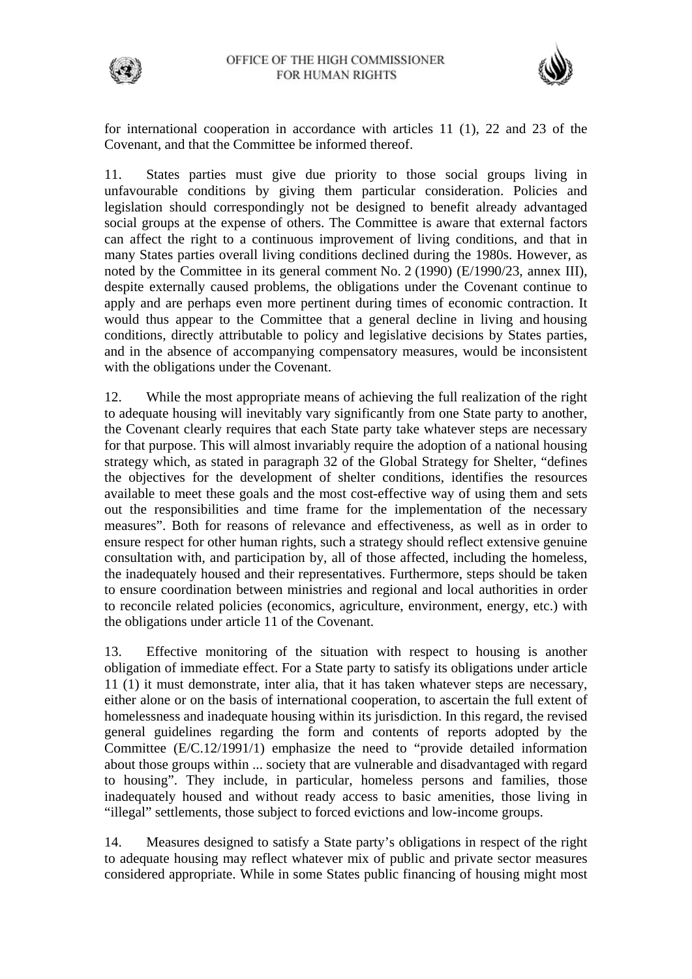



for international cooperation in accordance with articles 11 (1), 22 and 23 of the Covenant, and that the Committee be informed thereof.

11. States parties must give due priority to those social groups living in unfavourable conditions by giving them particular consideration. Policies and legislation should correspondingly not be designed to benefit already advantaged social groups at the expense of others. The Committee is aware that external factors can affect the right to a continuous improvement of living conditions, and that in many States parties overall living conditions declined during the 1980s. However, as noted by the Committee in its general comment No. 2 (1990) (E/1990/23, annex III), despite externally caused problems, the obligations under the Covenant continue to apply and are perhaps even more pertinent during times of economic contraction. It would thus appear to the Committee that a general decline in living and housing conditions, directly attributable to policy and legislative decisions by States parties, and in the absence of accompanying compensatory measures, would be inconsistent with the obligations under the Covenant.

12. While the most appropriate means of achieving the full realization of the right to adequate housing will inevitably vary significantly from one State party to another, the Covenant clearly requires that each State party take whatever steps are necessary for that purpose. This will almost invariably require the adoption of a national housing strategy which, as stated in paragraph 32 of the Global Strategy for Shelter, "defines the objectives for the development of shelter conditions, identifies the resources available to meet these goals and the most cost-effective way of using them and sets out the responsibilities and time frame for the implementation of the necessary measures". Both for reasons of relevance and effectiveness, as well as in order to ensure respect for other human rights, such a strategy should reflect extensive genuine consultation with, and participation by, all of those affected, including the homeless, the inadequately housed and their representatives. Furthermore, steps should be taken to ensure coordination between ministries and regional and local authorities in order to reconcile related policies (economics, agriculture, environment, energy, etc.) with the obligations under article 11 of the Covenant.

13. Effective monitoring of the situation with respect to housing is another obligation of immediate effect. For a State party to satisfy its obligations under article 11 (1) it must demonstrate, inter alia, that it has taken whatever steps are necessary, either alone or on the basis of international cooperation, to ascertain the full extent of homelessness and inadequate housing within its jurisdiction. In this regard, the revised general guidelines regarding the form and contents of reports adopted by the Committee (E/C.12/1991/1) emphasize the need to "provide detailed information about those groups within ... society that are vulnerable and disadvantaged with regard to housing". They include, in particular, homeless persons and families, those inadequately housed and without ready access to basic amenities, those living in "illegal" settlements, those subject to forced evictions and low-income groups.

14. Measures designed to satisfy a State party's obligations in respect of the right to adequate housing may reflect whatever mix of public and private sector measures considered appropriate. While in some States public financing of housing might most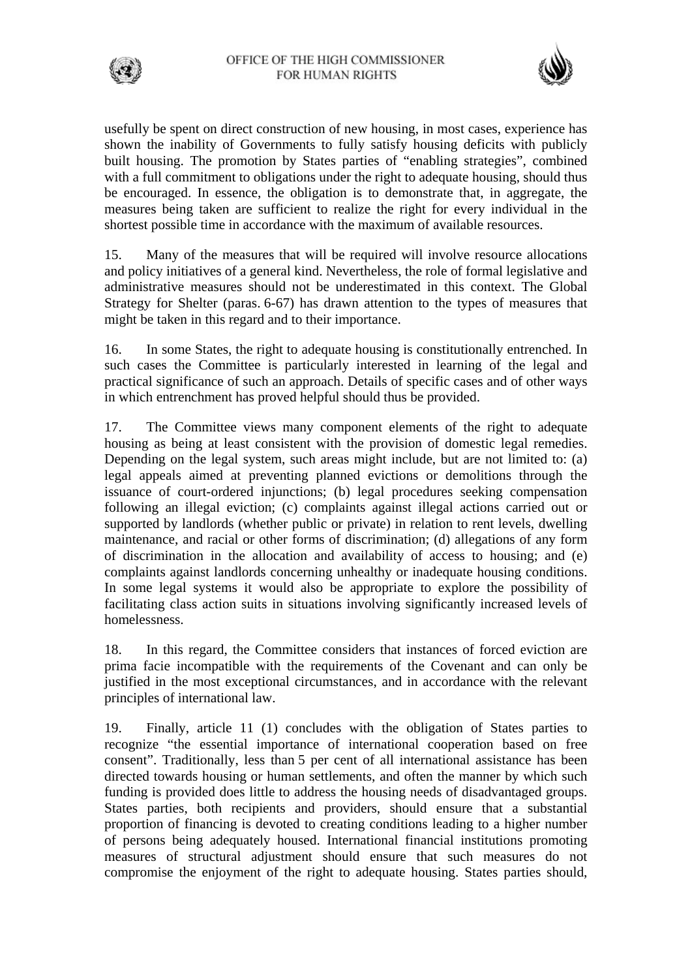



usefully be spent on direct construction of new housing, in most cases, experience has shown the inability of Governments to fully satisfy housing deficits with publicly built housing. The promotion by States parties of "enabling strategies", combined with a full commitment to obligations under the right to adequate housing, should thus be encouraged. In essence, the obligation is to demonstrate that, in aggregate, the measures being taken are sufficient to realize the right for every individual in the shortest possible time in accordance with the maximum of available resources.

15. Many of the measures that will be required will involve resource allocations and policy initiatives of a general kind. Nevertheless, the role of formal legislative and administrative measures should not be underestimated in this context. The Global Strategy for Shelter (paras. 6-67) has drawn attention to the types of measures that might be taken in this regard and to their importance.

16. In some States, the right to adequate housing is constitutionally entrenched. In such cases the Committee is particularly interested in learning of the legal and practical significance of such an approach. Details of specific cases and of other ways in which entrenchment has proved helpful should thus be provided.

17. The Committee views many component elements of the right to adequate housing as being at least consistent with the provision of domestic legal remedies. Depending on the legal system, such areas might include, but are not limited to: (a) legal appeals aimed at preventing planned evictions or demolitions through the issuance of court-ordered injunctions; (b) legal procedures seeking compensation following an illegal eviction; (c) complaints against illegal actions carried out or supported by landlords (whether public or private) in relation to rent levels, dwelling maintenance, and racial or other forms of discrimination; (d) allegations of any form of discrimination in the allocation and availability of access to housing; and (e) complaints against landlords concerning unhealthy or inadequate housing conditions. In some legal systems it would also be appropriate to explore the possibility of facilitating class action suits in situations involving significantly increased levels of homelessness.

18. In this regard, the Committee considers that instances of forced eviction are prima facie incompatible with the requirements of the Covenant and can only be justified in the most exceptional circumstances, and in accordance with the relevant principles of international law.

19. Finally, article 11 (1) concludes with the obligation of States parties to recognize "the essential importance of international cooperation based on free consent". Traditionally, less than 5 per cent of all international assistance has been directed towards housing or human settlements, and often the manner by which such funding is provided does little to address the housing needs of disadvantaged groups. States parties, both recipients and providers, should ensure that a substantial proportion of financing is devoted to creating conditions leading to a higher number of persons being adequately housed. International financial institutions promoting measures of structural adjustment should ensure that such measures do not compromise the enjoyment of the right to adequate housing. States parties should,